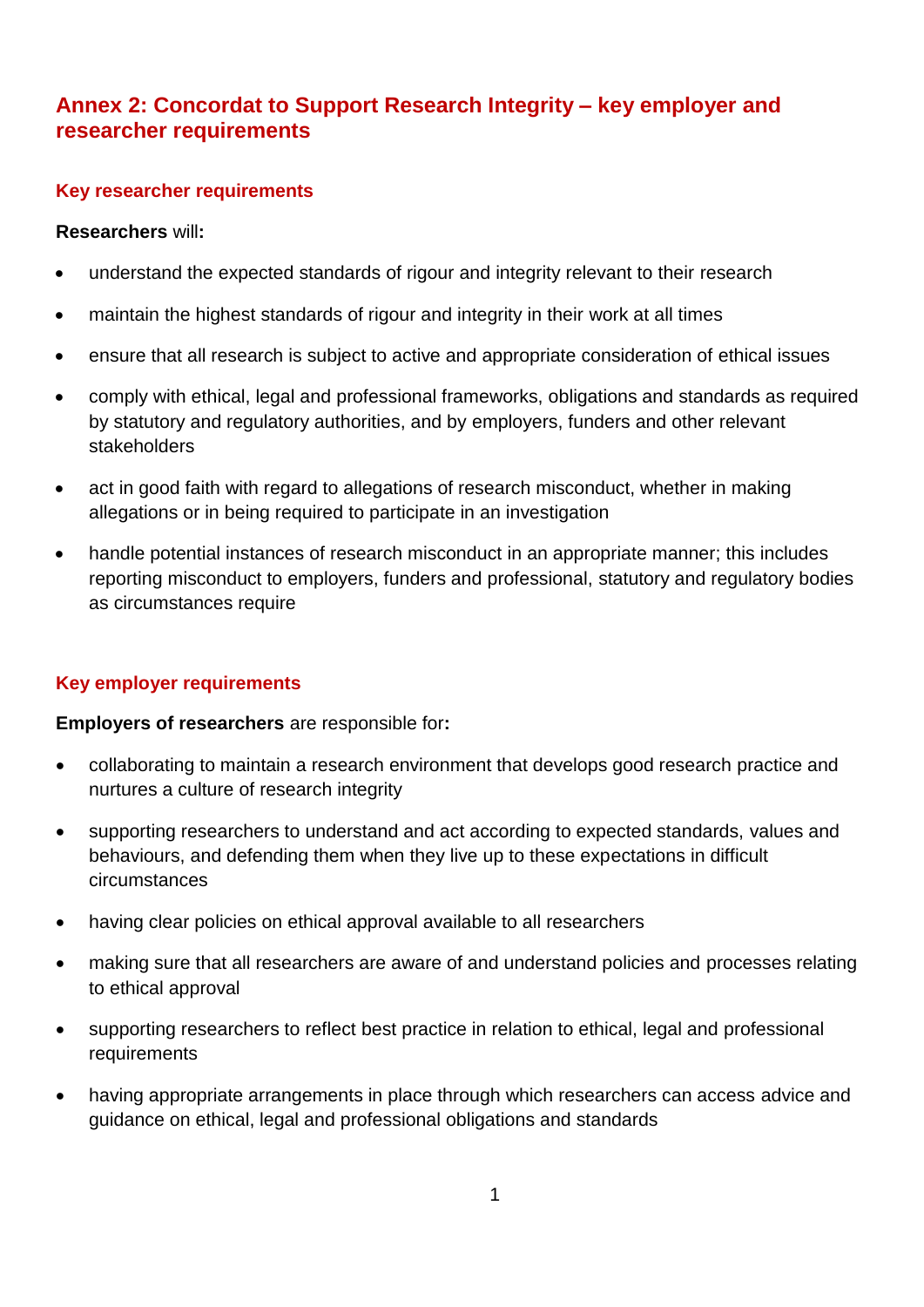# **Annex 2: Concordat to Support Research Integrity – key employer and researcher requirements**

#### **Key researcher requirements**

#### **Researchers** will**:**

- understand the expected standards of rigour and integrity relevant to their research
- maintain the highest standards of rigour and integrity in their work at all times
- ensure that all research is subject to active and appropriate consideration of ethical issues
- comply with ethical, legal and professional frameworks, obligations and standards as required by statutory and regulatory authorities, and by employers, funders and other relevant stakeholders
- act in good faith with regard to allegations of research misconduct, whether in making allegations or in being required to participate in an investigation
- handle potential instances of research misconduct in an appropriate manner; this includes reporting misconduct to employers, funders and professional, statutory and regulatory bodies as circumstances require

## **Key employer requirements**

#### **Employers of researchers** are responsible for**:**

- collaborating to maintain a research environment that develops good research practice and nurtures a culture of research integrity
- supporting researchers to understand and act according to expected standards, values and behaviours, and defending them when they live up to these expectations in difficult circumstances
- having clear policies on ethical approval available to all researchers
- making sure that all researchers are aware of and understand policies and processes relating to ethical approval
- supporting researchers to reflect best practice in relation to ethical, legal and professional requirements
- having appropriate arrangements in place through which researchers can access advice and guidance on ethical, legal and professional obligations and standards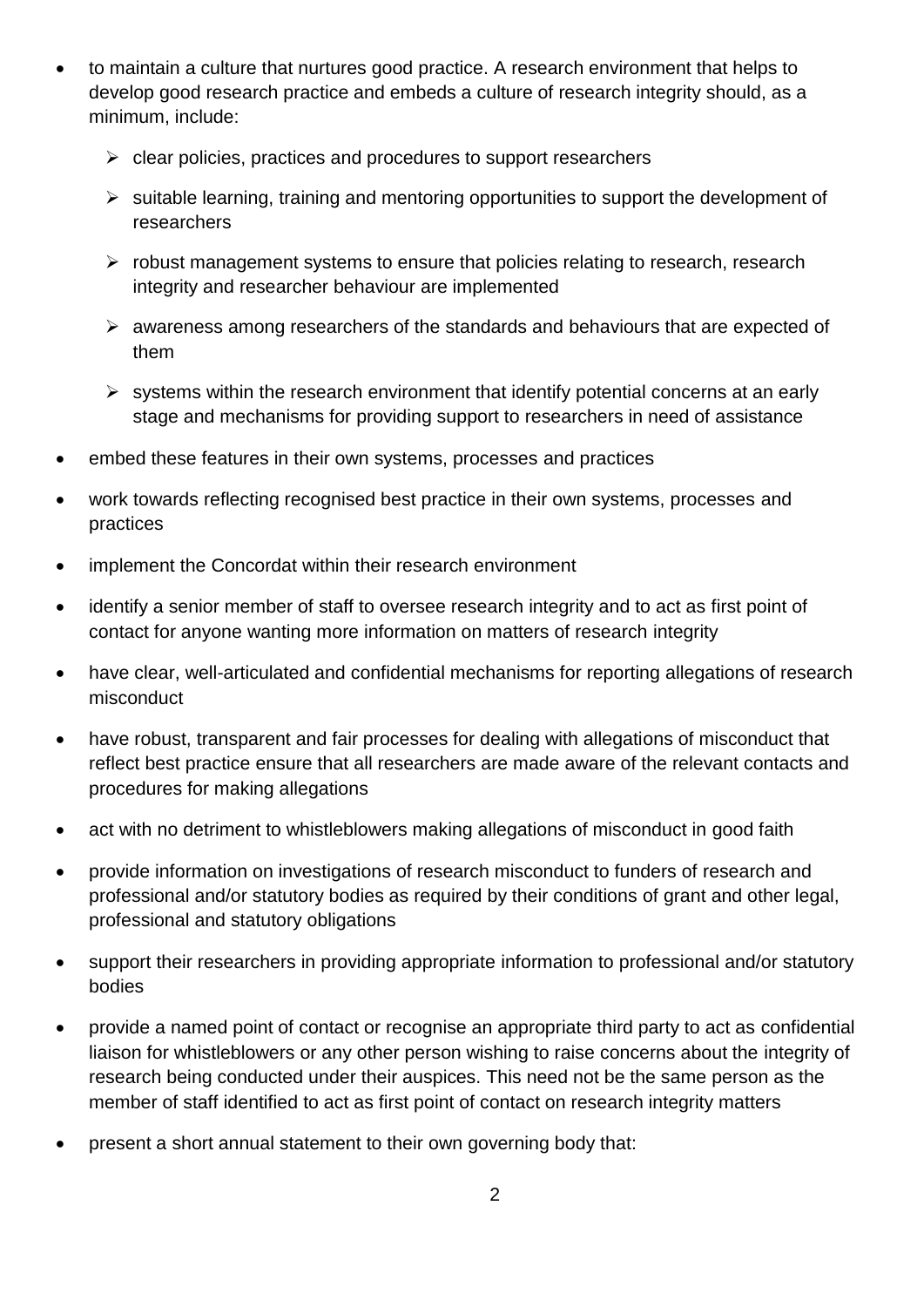- to maintain a culture that nurtures good practice. A research environment that helps to develop good research practice and embeds a culture of research integrity should, as a minimum, include:
	- $\triangleright$  clear policies, practices and procedures to support researchers
	- $\triangleright$  suitable learning, training and mentoring opportunities to support the development of researchers
	- $\triangleright$  robust management systems to ensure that policies relating to research, research integrity and researcher behaviour are implemented
	- $\triangleright$  awareness among researchers of the standards and behaviours that are expected of them
	- $\triangleright$  systems within the research environment that identify potential concerns at an early stage and mechanisms for providing support to researchers in need of assistance
- embed these features in their own systems, processes and practices
- work towards reflecting recognised best practice in their own systems, processes and practices
- implement the Concordat within their research environment
- identify a senior member of staff to oversee research integrity and to act as first point of contact for anyone wanting more information on matters of research integrity
- have clear, well-articulated and confidential mechanisms for reporting allegations of research misconduct
- have robust, transparent and fair processes for dealing with allegations of misconduct that reflect best practice ensure that all researchers are made aware of the relevant contacts and procedures for making allegations
- act with no detriment to whistleblowers making allegations of misconduct in good faith
- provide information on investigations of research misconduct to funders of research and professional and/or statutory bodies as required by their conditions of grant and other legal, professional and statutory obligations
- support their researchers in providing appropriate information to professional and/or statutory bodies
- provide a named point of contact or recognise an appropriate third party to act as confidential liaison for whistleblowers or any other person wishing to raise concerns about the integrity of research being conducted under their auspices. This need not be the same person as the member of staff identified to act as first point of contact on research integrity matters
- present a short annual statement to their own governing body that: